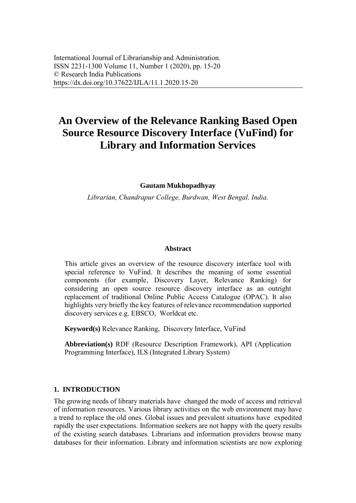# **An Overview of the Relevance Ranking Based Open Source Resource Discovery Interface (VuFind) for Library and Information Services**

#### **Gautam Mukhopadhyay**

*Librarian, Chandrapur College, Burdwan, West Bengal, India.*

#### **Abstract**

This article gives an overview of the resource discovery interface tool with special reference to VuFind. It describes the meaning of some essential components (for example, Discovery Layer, Relevance Ranking) for considering an open source resource discovery interface as an outright replacement of traditional Online Public Access Catalogue (OPAC). It also highlights very briefly the key features of relevance recommendation supported discovery services e.g. EBSCO, Worldcat etc.

**Keyword(s)** Relevance Ranking, Discovery Interface, VuFind

**Abbreviation(s)** RDF (Resource Description Framework), API (Application Programming Interface), ILS (Integrated Library System)

#### **1. INTRODUCTION**

The growing needs of library materials have changed the mode of access and retrieval of information resources. Various library activities on the web environment may have a trend to replace the old ones. Global issues and prevalent situations have expedited rapidly the user expectations. Information seekers are not happy with the query results of the existing search databases. Librarians and information providers browse many databases for their information. Library and information scientists are now exploring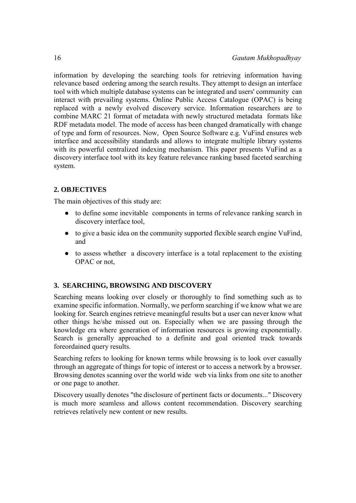information by developing the searching tools for retrieving information having relevance based ordering among the search results. They attempt to design an interface tool with which multiple database systems can be integrated and users' community can interact with prevailing systems. Online Public Access Catalogue (OPAC) is being replaced with a newly evolved discovery service. Information researchers are to combine MARC 21 format of metadata with newly structured metadata formats like RDF metadata model. The mode of access has been changed dramatically with change of type and form of resources. Now, Open Source Software e.g. VuFind ensures web interface and accessibility standards and allows to integrate multiple library systems with its powerful centralized indexing mechanism. This paper presents VuFind as a discovery interface tool with its key feature relevance ranking based faceted searching system.

## **2. OBJECTIVES**

The main objectives of this study are:

- to define some inevitable components in terms of relevance ranking search in discovery interface tool,
- to give a basic idea on the community supported flexible search engine VuFind, and
- to assess whether a discovery interface is a total replacement to the existing OPAC or not,

# **3. SEARCHING, BROWSING AND DISCOVERY**

Searching means looking over closely or thoroughly to find something such as to examine specific information. Normally, we perform searching if we know what we are looking for. Search engines retrieve meaningful results but a user can never know what other things he/she missed out on. Especially when we are passing through the knowledge era where generation of information resources is growing exponentially. Search is generally approached to a definite and goal oriented track towards foreordained query results.

Searching refers to looking for known terms while browsing is to look over casually through an aggregate of things for topic of interest or to access a network by a browser. Browsing denotes scanning over the world wide web via links from one site to another or one page to another.

Discovery usually denotes "the disclosure of pertinent facts or documents..." Discovery is much more seamless and allows content recommendation. Discovery searching retrieves relatively new content or new results.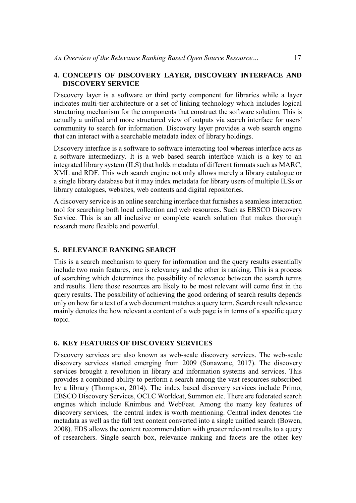## **4. CONCEPTS OF DISCOVERY LAYER, DISCOVERY INTERFACE AND DISCOVERY SERVICE**

Discovery layer is a software or third party component for libraries while a layer indicates multi-tier architecture or a set of linking technology which includes logical structuring mechanism for the components that construct the software solution. This is actually a unified and more structured view of outputs via search interface for users' community to search for information. Discovery layer provides a web search engine that can interact with a searchable metadata index of library holdings.

Discovery interface is a software to software interacting tool whereas interface acts as a software intermediary. It is a web based search interface which is a key to an integrated library system (ILS) that holds metadata of different formats such as MARC, XML and RDF. This web search engine not only allows merely a library catalogue or a single library database but it may index metadata for library users of multiple ILSs or library catalogues, websites, web contents and digital repositories.

A discovery service is an online searching interface that furnishes a seamless interaction tool for searching both local collection and web resources. Such as EBSCO Discovery Service. This is an all inclusive or complete search solution that makes thorough research more flexible and powerful.

#### **5. RELEVANCE RANKING SEARCH**

This is a search mechanism to query for information and the query results essentially include two main features, one is relevancy and the other is ranking. This is a process of searching which determines the possibility of relevance between the search terms and results. Here those resources are likely to be most relevant will come first in the query results. The possibility of achieving the good ordering of search results depends only on how far a text of a web document matches a query term. Search result relevance mainly denotes the how relevant a content of a web page is in terms of a specific query topic.

#### **6. KEY FEATURES OF DISCOVERY SERVICES**

Discovery services are also known as web-scale discovery services. The web-scale discovery services started emerging from 2009 (Sonawane, 2017). The discovery services brought a revolution in library and information systems and services. This provides a combined ability to perform a search among the vast resources subscribed by a library (Thompson, 2014). The index based discovery services include Primo, EBSCO Discovery Services, OCLC Worldcat, Summon etc. There are federated search engines which include Knimbus and WebFeat. Among the many key features of discovery services, the central index is worth mentioning. Central index denotes the metadata as well as the full text content converted into a single unified search (Bowen, 2008). EDS allows the content recommendation with greater relevant results to a query of researchers. Single search box, relevance ranking and facets are the other key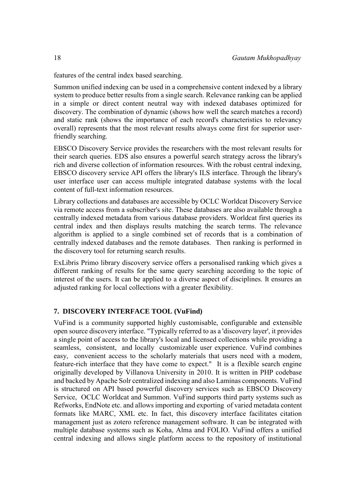features of the central index based searching.

Summon unified indexing can be used in a comprehensive content indexed by a library system to produce better results from a single search. Relevance ranking can be applied in a simple or direct content neutral way with indexed databases optimized for discovery. The combination of dynamic (shows how well the search matches a record) and static rank (shows the importance of each record's characteristics to relevancy overall) represents that the most relevant results always come first for superior userfriendly searching.

EBSCO Discovery Service provides the researchers with the most relevant results for their search queries. EDS also ensures a powerful search strategy across the library's rich and diverse collection of information resources. With the robust central indexing, EBSCO discovery service API offers the library's ILS interface. Through the library's user interface user can access multiple integrated database systems with the local content of full-text information resources.

Library collections and databases are accessible by OCLC Worldcat Discovery Service via remote access from a subscriber's site. These databases are also available through a centrally indexed metadata from various database providers. Worldcat first queries its central index and then displays results matching the search terms. The relevance algorithm is applied to a single combined set of records that is a combination of centrally indexed databases and the remote databases. Then ranking is performed in the discovery tool for returning search results.

ExLibris Primo library discovery service offers a personalised ranking which gives a different ranking of results for the same query searching according to the topic of interest of the users. It can be applied to a diverse aspect of disciplines. It ensures an adjusted ranking for local collections with a greater flexibility.

# **7. DISCOVERY INTERFACE TOOL (VuFind)**

VuFind is a community supported highly customisable, configurable and extensible open source discovery interface. "Typically referred to as a 'discovery layer', it provides a single point of access to the library's local and licensed collections while providing a seamless, consistent, and locally customizable user experience. VuFind combines easy, convenient access to the scholarly materials that users need with a modem, feature-rich interface that they have come to expect." It is a flexible search engine originally developed by Villanova University in 2010. It is written in PHP codebase and backed by Apache Solr centralized indexing and also Laminas components. VuFind is structured on API based powerful discovery services such as EBSCO Discovery Service, OCLC Worldcat and Summon. VuFind supports third party systems such as Refworks, EndNote etc. and allows importing and exporting of varied metadata content formats like MARC, XML etc. In fact, this discovery interface facilitates citation management just as zotero reference management software. It can be integrated with multiple database systems such as Koha, Alma and FOLIO. VuFind offers a unified central indexing and allows single platform access to the repository of institutional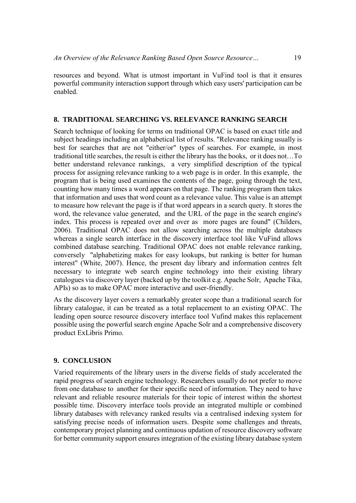resources and beyond. What is utmost important in VuFind tool is that it ensures powerful community interaction support through which easy users' participation can be enabled.

#### **8. TRADITIONAL SEARCHING VS. RELEVANCE RANKING SEARCH**

Search technique of looking for terms on traditional OPAC is based on exact title and subject headings including an alphabetical list of results. "Relevance ranking usually is best for searches that are not "either/or" types of searches. For example, in most traditional title searches, the result is either the library has the books, or it does not…To better understand relevance rankings, a very simplified description of the typical process for assigning relevance ranking to a web page is in order. In this example, the program that is being used examines the contents of the page, going through the text, counting how many times a word appears on that page. The ranking program then takes that information and uses that word count as a relevance value. This value is an attempt to measure how relevant the page is if that word appears in a search query. It stores the word, the relevance value generated, and the URL of the page in the search engine's index. This process is repeated over and over as more pages are found" (Childers, 2006). Traditional OPAC does not allow searching across the multiple databases whereas a single search interface in the discovery interface tool like VuFind allows combined database searching. Traditional OPAC does not enable relevance ranking, conversely "alphabetizing makes for easy lookups, but ranking is better for human interest" (White, 2007). Hence, the present day library and information centres felt necessary to integrate web search engine technology into their existing library catalogues via discovery layer (backed up by the toolkit e.g. Apache Solr, Apache Tika, APIs) so as to make OPAC more interactive and user-friendly.

As the discovery layer covers a remarkably greater scope than a traditional search for library catalogue, it can be treated as a total replacement to an existing OPAC. The leading open source resource discovery interface tool Vufind makes this replacement possible using the powerful search engine Apache Solr and a comprehensive discovery product ExLibris Primo.

#### **9. CONCLUSION**

Varied requirements of the library users in the diverse fields of study accelerated the rapid progress of search engine technology. Researchers usually do not prefer to move from one database to another for their specific need of information. They need to have relevant and reliable resource materials for their topic of interest within the shortest possible time. Discovery interface tools provide an integrated multiple or combined library databases with relevancy ranked results via a centralised indexing system for satisfying precise needs of information users. Despite some challenges and threats, contemporary project planning and continuous updation of resource discovery software for better community support ensures integration of the existing library database system